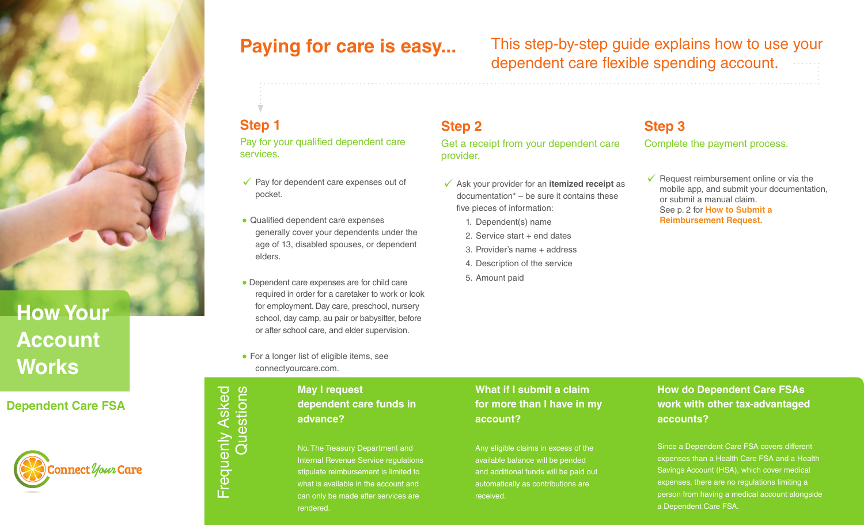

# **Account Works**

### **Dependent Care FSA**



**Paying for care is easy...** This step-by-step guide explains how to use your dependent care flexible spending account.

Frequenly Asked

Frequenly Asked<br>Questions

Questions

**Step 1** Pay for your qualified dependent care services.

- $\sqrt{\ }$  Pay for dependent care expenses out of pocket.
- Qualified dependent care expenses generally cover your dependents under the age of 13, disabled spouses, or dependent elders.
- Dependent care expenses are for child care required in order for a caretaker to work or look for employment. Day care, preschool, nursery school, day camp, au pair or babysitter, before or after school care, and elder supervision.
- For a longer list of eligible items, see connectyourcare.com.

### **May I request dependent care funds in advance?**

No. The Treasury Department and Internal Revenue Service regulations stipulate reimbursement is limited to what is available in the account and can only be made after services are rendered.

### **Step 2** Get a receipt from your dependent care provider.

- 99  Ask your provider for an **itemized receipt** as documentation\* – be sure it contains these five pieces of information:
	- 1. Dependent(s) name
	- 2. Service start + end dates
	- 3. Provider's name + address
	- 4. Description of the service
	- 5. Amount paid

### **Step 3** Complete the payment process.

 $\checkmark$  Request reimbursement online or via the mobile app, and submit your documentation, or submit a manual claim. See p. 2 for **How to Submit a Reimbursement Request.** 

### **What if I submit a claim for more than I have in my account?**

Any eligible claims in excess of the available balance will be pended and additional funds will be paid out automatically as contributions are received.

### **How do Dependent Care FSAs work with other tax-advantaged accounts?**

expenses than a Health Care FSA and a Health Savings Account (HSA), which cover medical *documentation in case it is needed at tax time.* expenses, there are no regulations limiting a Since a Dependent Care FSA covers different person from having a medical account alongside a Dependent Care FSA.